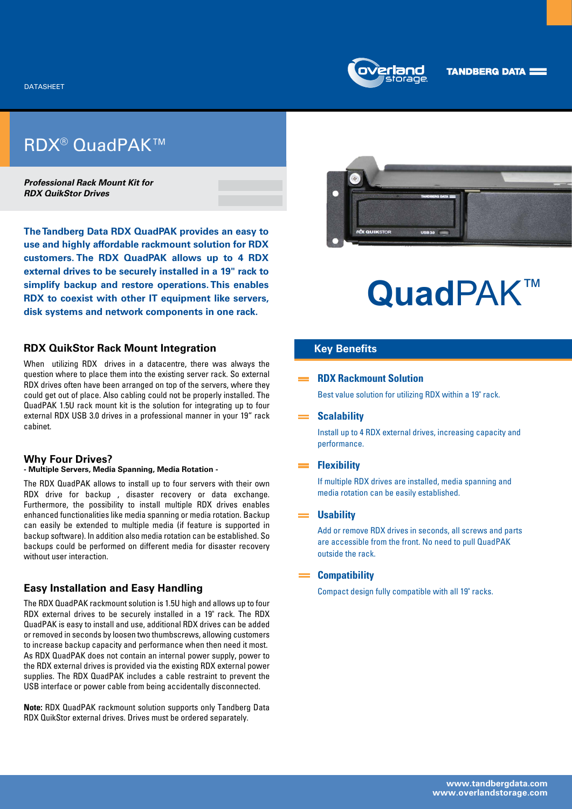

## RDX® QuadPAK™

*Professional Rack Mount Kit for RDX QuikStor Drives*

**The Tandberg Data RDX QuadPAK provides an easy to use and highly affordable rackmount solution for RDX customers. The RDX QuadPAK allows up to 4 RDX external drives to be securely installed in a 19" rack to simplify backup and restore operations. This enables RDX to coexist with other IT equipment like servers, disk systems and network components in one rack.**

## **RDX QuikStor Rack Mount Integration**

When utilizing RDX drives in a datacentre, there was always the question where to place them into the existing server rack. So external RDX drives often have been arranged on top of the servers, where they could get out of place. Also cabling could not be properly installed. The QuadPAK 1.5U rack mount kit is the solution for integrating up to four external RDX USB 3.0 drives in a professional manner in your 19" rack cabinet.

## **Why Four Drives?**

## **- Multiple Servers, Media Spanning, Media Rotation -**

The RDX QuadPAK allows to install up to four servers with their own RDX drive for backup , disaster recovery or data exchange. Furthermore, the possibility to install multiple RDX drives enables enhanced functionalities like media spanning or media rotation. Backup can easily be extended to multiple media (if feature is supported in backup software). In addition also media rotation can be established. So backups could be performed on different media for disaster recovery without user interaction.

## **Easy Installation and Easy Handling**

The RDX QuadPAK rackmount solution is 1.5U high and allows up to four RDX external drives to be securely installed in a 19" rack. The RDX QuadPAK is easy to install and use, additional RDX drives can be added or removed in seconds by loosen two thumbscrews, allowing customers to increase backup capacity and performance when then need it most. As RDX QuadPAK does not contain an internal power supply, power to the RDX external drives is provided via the existing RDX external power supplies. The RDX QuadPAK includes a cable restraint to prevent the USB interface or power cable from being accidentally disconnected.

**Note:** RDX QuadPAK rackmount solution supports only Tandberg Data RDX QuikStor external drives. Drives must be ordered separately.



# **Quad**PAK™

## **Key Benefits**

## **RDX Rackmount Solution**

Best value solution for utilizing RDX within a 19" rack.

## **Scalability**

Install up to 4 RDX external drives, increasing capacity and performance.

#### **Flexibility**

If multiple RDX drives are installed, media spanning and media rotation can be easily established.

## **Usability**

Add or remove RDX drives in seconds, all screws and parts are accessible from the front. No need to pull QuadPAK outside the rack.

## **Compatibility**

Compact design fully compatible with all 19" racks.